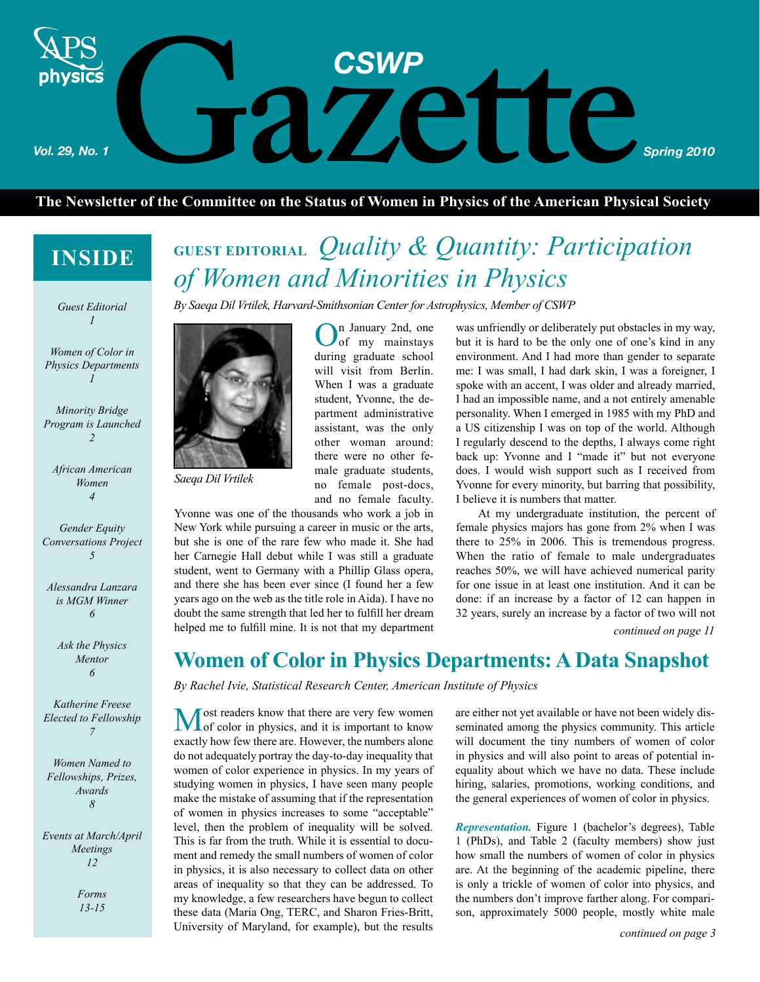# **CSWP**<br>etter of the Committee on the Status of Women in Physics of the American Physi *Vol. 29, No. 1 Spring 2010* physics

## **The Newsletter of the Committee on the Status of Women in Physics of the American Physical Society**

# **INSIDE**

*1*

*Women of Color in Physics Departments 1*

*Minority Bridge Program is Launched 2*

*African American Women 4*

*Gender Equity Conversations Project 5*

*Alessandra Lanzara is MGM Winner 6*

> *Ask the Physics Mentor 6*

*Katherine Freese Elected to Fellowship 7*

*Women Named to Fellowships, Prizes, Awards 8*

*Events at March/April Meetings 12*

> *Forms 13-15*

# *Quality & Quantity: Participation*  **GUEST EDITORIAL** *of Women and Minorities in Physics*

*Guest Editorial By Saeqa Dil Vrtilek, Harvard-Smithsonian Center for Astrophysics, Member of CSWP*



*Saeqa Dil Vrtilek*

On January 2nd, one of my mainstays during graduate school will visit from Berlin. When I was a graduate student, Yvonne, the department administrative assistant, was the only other woman around: there were no other female graduate students, no female post-docs, and no female faculty.

Yvonne was one of the thousands who work a job in New York while pursuing a career in music or the arts, but she is one of the rare few who made it. She had her Carnegie Hall debut while I was still a graduate student, went to Germany with a Phillip Glass opera, and there she has been ever since (I found her a few years ago on the web as the title role in Aida). I have no doubt the same strength that led her to fulfill her dream helped me to fulfill mine. It is not that my department was unfriendly or deliberately put obstacles in my way, but it is hard to be the only one of one's kind in any environment. And I had more than gender to separate me: I was small, I had dark skin, I was a foreigner, I spoke with an accent, I was older and already married, I had an impossible name, and a not entirely amenable personality. When I emerged in 1985 with my PhD and a US citizenship I was on top of the world. Although I regularly descend to the depths, I always come right back up: Yvonne and I "made it" but not everyone does. I would wish support such as I received from Yvonne for every minority, but barring that possibility, I believe it is numbers that matter.

At my undergraduate institution, the percent of female physics majors has gone from 2% when I was there to 25% in 2006. This is tremendous progress. When the ratio of female to male undergraduates reaches 50%, we will have achieved numerical parity for one issue in at least one institution. And it can be done: if an increase by a factor of 12 can happen in 32 years, surely an increase by a factor of two will not

*continued on page 11*

# **Women of Color in Physics Departments: A Data Snapshot**

*By Rachel Ivie, Statistical Research Center, American Institute of Physics*

Most readers know that there are very few women<br>of color in physics, and it is important to know exactly how few there are. However, the numbers alone do not adequately portray the day-to-day inequality that women of color experience in physics. In my years of studying women in physics, I have seen many people make the mistake of assuming that if the representation of women in physics increases to some "acceptable" level, then the problem of inequality will be solved. This is far from the truth. While it is essential to document and remedy the small numbers of women of color in physics, it is also necessary to collect data on other areas of inequality so that they can be addressed. To my knowledge, a few researchers have begun to collect these data (Maria Ong, TERC, and Sharon Fries-Britt, University of Maryland, for example), but the results

are either not yet available or have not been widely disseminated among the physics community. This article will document the tiny numbers of women of color in physics and will also point to areas of potential inequality about which we have no data. These include

hiring, salaries, promotions, working conditions, and the general experiences of women of color in physics. *Representation.* Figure 1 (bachelor's degrees), Table

1 (PhDs), and Table 2 (faculty members) show just how small the numbers of women of color in physics are. At the beginning of the academic pipeline, there is only a trickle of women of color into physics, and the numbers don't improve farther along. For comparison, approximately 5000 people, mostly white male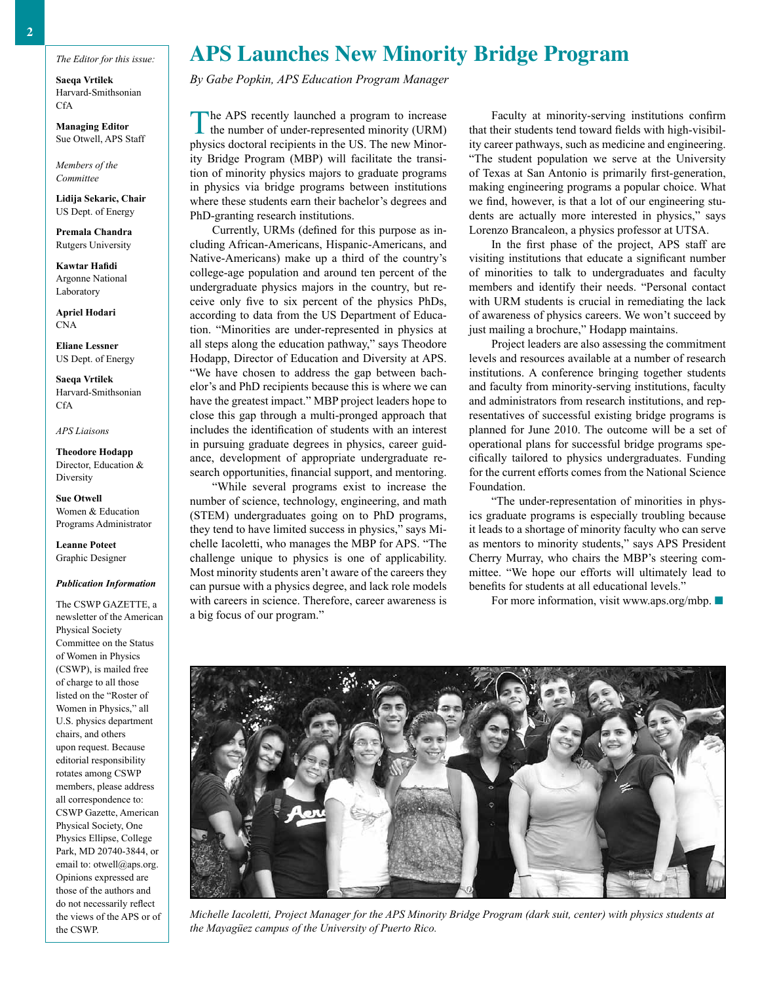**Saeqa Vrtilek** Harvard-Smithsonian **CfA** 

**Managing Editor** Sue Otwell, APS Staff

*Members of the Committee*

**Lidija Sekaric, Chair** US Dept. of Energy

**Premala Chandra** Rutgers University

**Kawtar Hafidi** Argonne National Laboratory

**Apriel Hodari** CNA

**Eliane Lessner** US Dept. of Energy

**Saeqa Vrtilek** Harvard-Smithsonian CfA

*APS Liaisons*

**Theodore Hodapp** Director, Education & **Diversity** 

**Sue Otwell** Women & Education Programs Administrator

**Leanne Poteet** Graphic Designer

#### *Publication Information*

The CSWP GAZETTE, a newsletter of the American Physical Society Committee on the Status of Women in Physics (CSWP), is mailed free of charge to all those listed on the "Roster of Women in Physics," all U.S. physics department chairs, and others upon request. Because editorial responsibility rotates among CSWP members, please address all correspondence to: CSWP Gazette, American Physical Society, One Physics Ellipse, College Park, MD 20740-3844, or email to: otwell@aps.org. Opinions expressed are those of the authors and do not necessarily reflect the views of the APS or of the CSWP.

## **APS Launches New Minority Bridge Program**

*By Gabe Popkin, APS Education Program Manager*

The APS recently launched a program to increase the number of under-represented minority (URM) physics doctoral recipients in the US. The new Minority Bridge Program (MBP) will facilitate the transition of minority physics majors to graduate programs in physics via bridge programs between institutions where these students earn their bachelor's degrees and PhD-granting research institutions.

Currently, URMs (defined for this purpose as including African-Americans, Hispanic-Americans, and Native-Americans) make up a third of the country's college-age population and around ten percent of the undergraduate physics majors in the country, but receive only five to six percent of the physics PhDs, according to data from the US Department of Education. "Minorities are under-represented in physics at all steps along the education pathway," says Theodore Hodapp, Director of Education and Diversity at APS. "We have chosen to address the gap between bachelor's and PhD recipients because this is where we can have the greatest impact." MBP project leaders hope to close this gap through a multi-pronged approach that includes the identification of students with an interest in pursuing graduate degrees in physics, career guidance, development of appropriate undergraduate research opportunities, financial support, and mentoring.

"While several programs exist to increase the number of science, technology, engineering, and math (STEM) undergraduates going on to PhD programs, they tend to have limited success in physics," says Michelle Iacoletti, who manages the MBP for APS. "The challenge unique to physics is one of applicability. Most minority students aren't aware of the careers they can pursue with a physics degree, and lack role models with careers in science. Therefore, career awareness is a big focus of our program."

Faculty at minority-serving institutions confirm that their students tend toward fields with high-visibility career pathways, such as medicine and engineering. "The student population we serve at the University of Texas at San Antonio is primarily first-generation, making engineering programs a popular choice. What we find, however, is that a lot of our engineering students are actually more interested in physics," says Lorenzo Brancaleon, a physics professor at UTSA.

In the first phase of the project, APS staff are visiting institutions that educate a significant number of minorities to talk to undergraduates and faculty members and identify their needs. "Personal contact with URM students is crucial in remediating the lack of awareness of physics careers. We won't succeed by just mailing a brochure," Hodapp maintains.

Project leaders are also assessing the commitment levels and resources available at a number of research institutions. A conference bringing together students and faculty from minority-serving institutions, faculty and administrators from research institutions, and representatives of successful existing bridge programs is planned for June 2010. The outcome will be a set of operational plans for successful bridge programs specifically tailored to physics undergraduates. Funding for the current efforts comes from the National Science Foundation.

"The under-representation of minorities in physics graduate programs is especially troubling because it leads to a shortage of minority faculty who can serve as mentors to minority students," says APS President Cherry Murray, who chairs the MBP's steering committee. "We hope our efforts will ultimately lead to benefits for students at all educational levels."

For more information, visit www.aps.org/mbp.  $\blacksquare$ 



*Michelle Iacoletti, Project Manager for the APS Minority Bridge Program (dark suit, center) with physics students at the Mayagüez campus of the University of Puerto Rico.*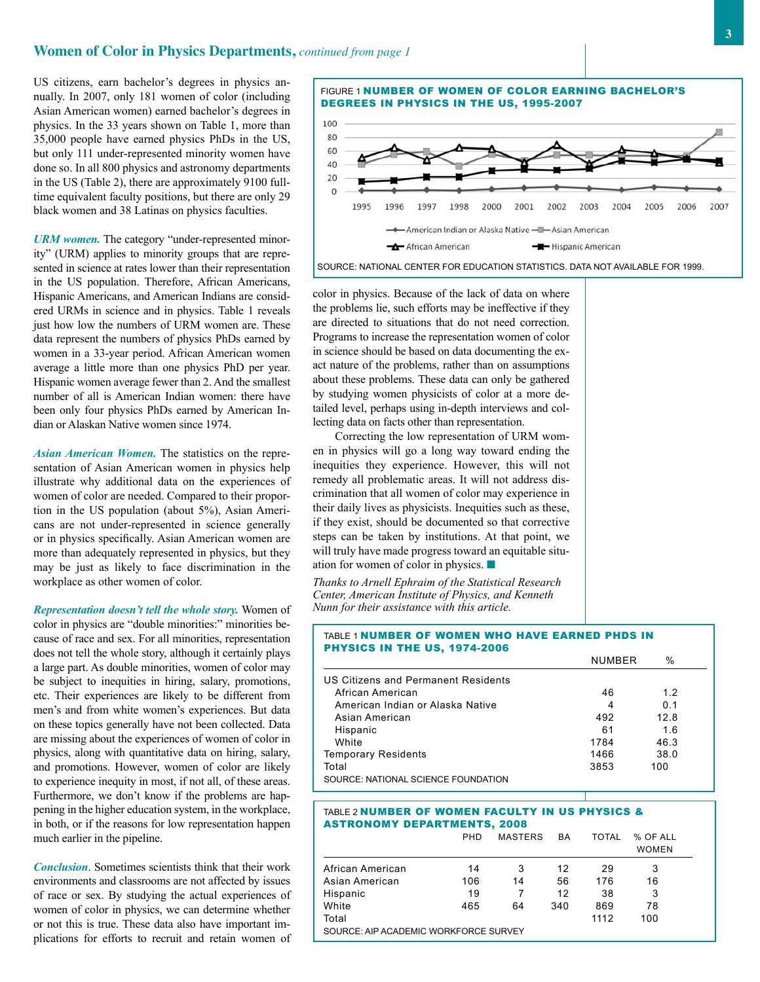US citizens, earn bachelor's degrees in physics annually. In 2007, only 181 women of color (including Asian American women) earned bachelor's degrees in physics. In the 33 years shown on Table 1, more than 35,000 people have earned physics PhDs in the US, but only 111 under-represented minority women have done so. In all 800 physics and astronomy departments in the US (Table 2), there are approximately 9100 fulltime equivalent faculty positions, but there are only 29 black women and 38 Latinas on physics faculties.

*URM women.* The category "under-represented minority" (URM) applies to minority groups that are represented in science at rates lower than their representation in the US population. Therefore, African Americans, Hispanic Americans, and American Indians are considered URMs in science and in physics. Table 1 reveals just how low the numbers of URM women are. These data represent the numbers of physics PhDs earned by women in a 33-year period. African American women average a little more than one physics PhD per year. Hispanic women average fewer than 2. And the smallest number of all is American Indian women: there have been only four physics PhDs earned by American Indian or Alaskan Native women since 1974.

*Asian American Women.* The statistics on the representation of Asian American women in physics help illustrate why additional data on the experiences of women of color are needed. Compared to their proportion in the US population (about 5%), Asian Americans are not under-represented in science generally or in physics specifically. Asian American women are more than adequately represented in physics, but they may be just as likely to face discrimination in the workplace as other women of color.

*Representation doesn't tell the whole story.* Women of color in physics are "double minorities:" minorities because of race and sex. For all minorities, representation does not tell the whole story, although it certainly plays a large part. As double minorities, women of color may be subject to inequities in hiring, salary, promotions, etc. Their experiences are likely to be different from men's and from white women's experiences. But data on these topics generally have not been collected. Data are missing about the experiences of women of color in physics, along with quantitative data on hiring, salary, and promotions. However, women of color are likely to experience inequity in most, if not all, of these areas. Furthermore, we don't know if the problems are happening in the higher education system, in the workplace, in both, or if the reasons for low representation happen much earlier in the pipeline.

*Conclusion*. Sometimes scientists think that their work environments and classrooms are not affected by issues of race or sex. By studying the actual experiences of women of color in physics, we can determine whether or not this is true. These data also have important implications for efforts to recruit and retain women of

Figure 1 Number of Women OF COLOR EARNING BACHELOR'S DEGREES IN PHYSICS IN THE US, 1995-2007



Source: National Center for Education Statistics. Data not available for 1999.

color in physics. Because of the lack of data on where the problems lie, such efforts may be ineffective if they are directed to situations that do not need correction. Programs to increase the representation women of color in science should be based on data documenting the exact nature of the problems, rather than on assumptions about these problems. These data can only be gathered by studying women physicists of color at a more detailed level, perhaps using in-depth interviews and collecting data on facts other than representation.

Correcting the low representation of URM women in physics will go a long way toward ending the inequities they experience. However, this will not remedy all problematic areas. It will not address discrimination that all women of color may experience in their daily lives as physicists. Inequities such as these, if they exist, should be documented so that corrective steps can be taken by institutions. At that point, we will truly have made progress toward an equitable situation for women of color in physics.  $\blacksquare$ 

*Thanks to Arnell Ephraim of the Statistical Research Center, American Institute of Physics, and Kenneth Nunn for their assistance with this article.*

#### Table 1 Number of Women who have earned PhDs in Physics in the US, 1974-2006

|                                     | NUMBER | %    |  |
|-------------------------------------|--------|------|--|
| US Citizens and Permanent Residents |        |      |  |
| African American                    | 46     | 12   |  |
| American Indian or Alaska Native    | 4      | 0 1  |  |
| Asian American                      | 492    | 12.8 |  |
| Hispanic                            | 61     | 16   |  |
| White                               | 1784   | 46.3 |  |
| <b>Temporary Residents</b>          | 1466   | 38.0 |  |
| Total                               | 3853   | 100  |  |
| SOURCE: NATIONAL SCIENCE FOUNDATION |        |      |  |

#### Table 2 Number of Women Faculty in US Physics & Astronomy Departments, 2008

|                                       | <b>PHD</b> | <b>MASTERS</b> | BA  | TOTAL | % OF ALL<br><b>WOMEN</b> |  |  |
|---------------------------------------|------------|----------------|-----|-------|--------------------------|--|--|
| African American                      | 14         | 3              | 12  | 29    | 3                        |  |  |
| Asian American                        | 106        | 14             | 56  | 176   | 16                       |  |  |
| Hispanic                              | 19         |                | 12  | 38    | 3                        |  |  |
| White                                 | 465        | 64             | 340 | 869   | 78                       |  |  |
| Total                                 |            |                |     | 1112  | 100                      |  |  |
| SOURCE: AIP ACADEMIC WORKFORCE SURVEY |            |                |     |       |                          |  |  |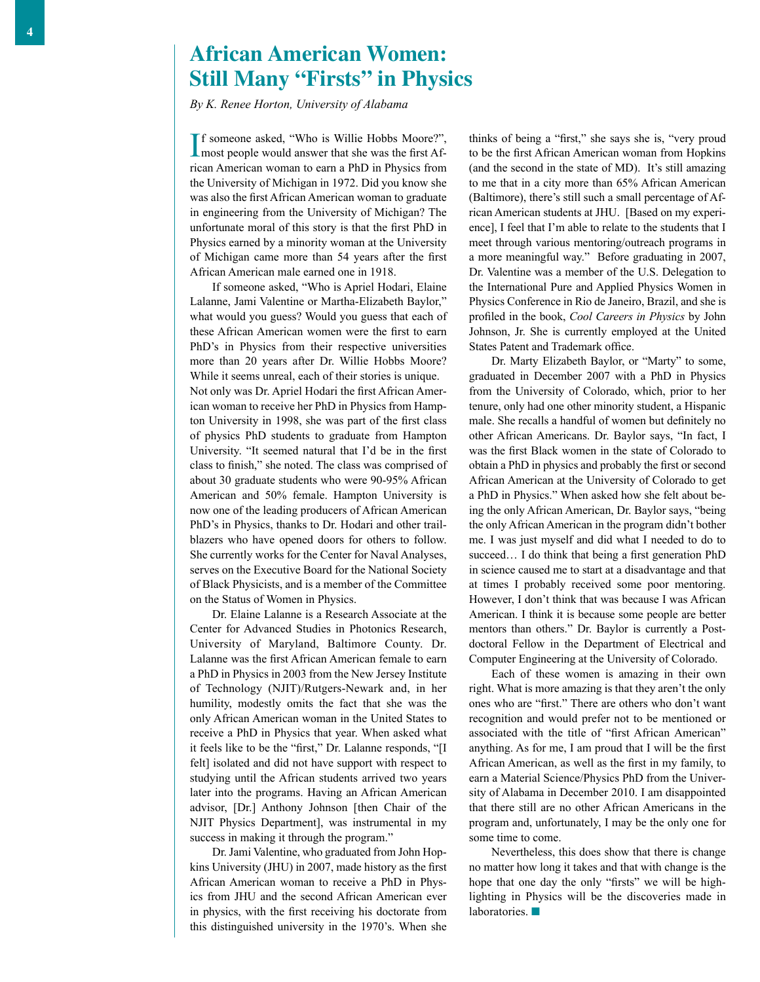## **African American Women: Still Many "Firsts" in Physics**

*By K. Renee Horton, University of Alabama*

I most people would answer that she was the first Aff someone asked, "Who is Willie Hobbs Moore?", rican American woman to earn a PhD in Physics from the University of Michigan in 1972. Did you know she was also the first African American woman to graduate in engineering from the University of Michigan? The unfortunate moral of this story is that the first PhD in Physics earned by a minority woman at the University of Michigan came more than 54 years after the first African American male earned one in 1918.

If someone asked, "Who is Apriel Hodari, Elaine Lalanne, Jami Valentine or Martha-Elizabeth Baylor," what would you guess? Would you guess that each of these African American women were the first to earn PhD's in Physics from their respective universities more than 20 years after Dr. Willie Hobbs Moore? While it seems unreal, each of their stories is unique. Not only was Dr. Apriel Hodari the first African American woman to receive her PhD in Physics from Hampton University in 1998, she was part of the first class of physics PhD students to graduate from Hampton University. "It seemed natural that I'd be in the first class to finish," she noted. The class was comprised of about 30 graduate students who were 90-95% African American and 50% female. Hampton University is now one of the leading producers of African American PhD's in Physics, thanks to Dr. Hodari and other trailblazers who have opened doors for others to follow. She currently works for the Center for Naval Analyses, serves on the Executive Board for the National Society of Black Physicists, and is a member of the Committee on the Status of Women in Physics.

Dr. Elaine Lalanne is a Research Associate at the Center for Advanced Studies in Photonics Research, University of Maryland, Baltimore County. Dr. Lalanne was the first African American female to earn a PhD in Physics in 2003 from the New Jersey Institute of Technology (NJIT)/Rutgers-Newark and, in her humility, modestly omits the fact that she was the only African American woman in the United States to receive a PhD in Physics that year. When asked what it feels like to be the "first," Dr. Lalanne responds, "[I felt] isolated and did not have support with respect to studying until the African students arrived two years later into the programs. Having an African American advisor, [Dr.] Anthony Johnson [then Chair of the NJIT Physics Department], was instrumental in my success in making it through the program."

Dr. Jami Valentine, who graduated from John Hopkins University (JHU) in 2007, made history as the first African American woman to receive a PhD in Physics from JHU and the second African American ever in physics, with the first receiving his doctorate from this distinguished university in the 1970's. When she thinks of being a "first," she says she is, "very proud to be the first African American woman from Hopkins (and the second in the state of MD). It's still amazing to me that in a city more than 65% African American (Baltimore), there's still such a small percentage of African American students at JHU. [Based on my experience], I feel that I'm able to relate to the students that I meet through various mentoring/outreach programs in a more meaningful way." Before graduating in 2007, Dr. Valentine was a member of the U.S. Delegation to the International Pure and Applied Physics Women in Physics Conference in Rio de Janeiro, Brazil, and she is profiled in the book, *Cool Careers in Physics* by John Johnson, Jr. She is currently employed at the United States Patent and Trademark office.

Dr. Marty Elizabeth Baylor, or "Marty" to some, graduated in December 2007 with a PhD in Physics from the University of Colorado, which, prior to her tenure, only had one other minority student, a Hispanic male. She recalls a handful of women but definitely no other African Americans. Dr. Baylor says, "In fact, I was the first Black women in the state of Colorado to obtain a PhD in physics and probably the first or second African American at the University of Colorado to get a PhD in Physics." When asked how she felt about being the only African American, Dr. Baylor says, "being the only African American in the program didn't bother me. I was just myself and did what I needed to do to succeed... I do think that being a first generation PhD in science caused me to start at a disadvantage and that at times I probably received some poor mentoring. However, I don't think that was because I was African American. I think it is because some people are better mentors than others." Dr. Baylor is currently a Postdoctoral Fellow in the Department of Electrical and Computer Engineering at the University of Colorado.

Each of these women is amazing in their own right. What is more amazing is that they aren't the only ones who are "first." There are others who don't want recognition and would prefer not to be mentioned or associated with the title of "first African American" anything. As for me, I am proud that I will be the first African American, as well as the first in my family, to earn a Material Science/Physics PhD from the University of Alabama in December 2010. I am disappointed that there still are no other African Americans in the program and, unfortunately, I may be the only one for some time to come.

Nevertheless, this does show that there is change no matter how long it takes and that with change is the hope that one day the only "firsts" we will be highlighting in Physics will be the discoveries made in laboratories.  $\blacksquare$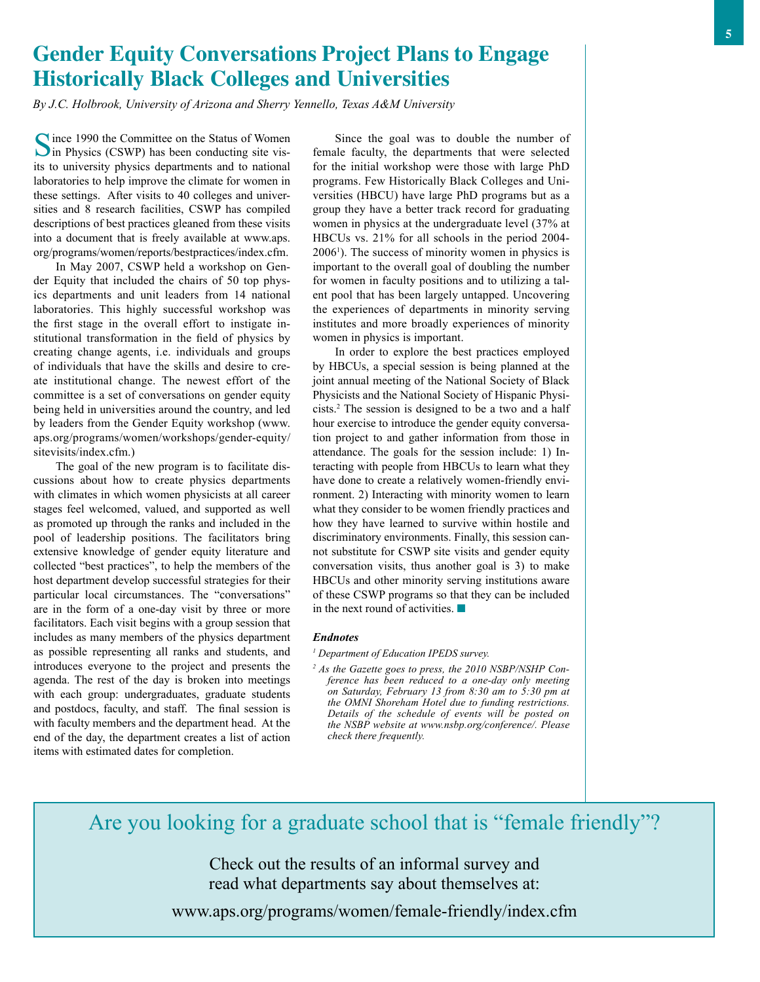# **Gender Equity Conversations Project Plans to Engage Historically Black Colleges and Universities**

*By J.C. Holbrook, University of Arizona and Sherry Yennello, Texas A&M University*

Since 1990 the Committee on the Status of Women<br>in Physics (CSWP) has been conducting site visits to university physics departments and to national laboratories to help improve the climate for women in these settings. After visits to 40 colleges and universities and 8 research facilities, CSWP has compiled descriptions of best practices gleaned from these visits into a document that is freely available at www.aps. org/programs/women/reports/bestpractices/index.cfm.

In May 2007, CSWP held a workshop on Gender Equity that included the chairs of 50 top physics departments and unit leaders from 14 national laboratories. This highly successful workshop was the first stage in the overall effort to instigate institutional transformation in the field of physics by creating change agents, i.e. individuals and groups of individuals that have the skills and desire to create institutional change. The newest effort of the committee is a set of conversations on gender equity being held in universities around the country, and led by leaders from the Gender Equity workshop (www. aps.org/programs/women/workshops/gender-equity/ sitevisits/index.cfm.)

The goal of the new program is to facilitate discussions about how to create physics departments with climates in which women physicists at all career stages feel welcomed, valued, and supported as well as promoted up through the ranks and included in the pool of leadership positions. The facilitators bring extensive knowledge of gender equity literature and collected "best practices", to help the members of the host department develop successful strategies for their particular local circumstances. The "conversations" are in the form of a one-day visit by three or more facilitators. Each visit begins with a group session that includes as many members of the physics department as possible representing all ranks and students, and introduces everyone to the project and presents the agenda. The rest of the day is broken into meetings with each group: undergraduates, graduate students and postdocs, faculty, and staff. The final session is with faculty members and the department head. At the end of the day, the department creates a list of action items with estimated dates for completion.

Since the goal was to double the number of female faculty, the departments that were selected for the initial workshop were those with large PhD programs. Few Historically Black Colleges and Universities (HBCU) have large PhD programs but as a group they have a better track record for graduating women in physics at the undergraduate level (37% at HBCUs vs. 21% for all schools in the period 2004- 2006<sup>1</sup>). The success of minority women in physics is important to the overall goal of doubling the number for women in faculty positions and to utilizing a talent pool that has been largely untapped. Uncovering the experiences of departments in minority serving institutes and more broadly experiences of minority women in physics is important.

In order to explore the best practices employed by HBCUs, a special session is being planned at the joint annual meeting of the National Society of Black Physicists and the National Society of Hispanic Physicists.2 The session is designed to be a two and a half hour exercise to introduce the gender equity conversation project to and gather information from those in attendance. The goals for the session include: 1) Interacting with people from HBCUs to learn what they have done to create a relatively women-friendly environment. 2) Interacting with minority women to learn what they consider to be women friendly practices and how they have learned to survive within hostile and discriminatory environments. Finally, this session cannot substitute for CSWP site visits and gender equity conversation visits, thus another goal is 3) to make HBCUs and other minority serving institutions aware of these CSWP programs so that they can be included in the next round of activities.  $\blacksquare$ 

#### *Endnotes*

*1 Department of Education IPEDS survey.*

*2 As the Gazette goes to press, the 2010 NSBP/NSHP Conference has been reduced to a one-day only meeting on Saturday, February 13 from 8:30 am to 5:30 pm at the OMNI Shoreham Hotel due to funding restrictions. Details of the schedule of events will be posted on the NSBP website at www.nsbp.org/conference/. Please check there frequently.*

# Are you looking for a graduate school that is "female friendly"?

Check out the results of an informal survey and read what departments say about themselves at:

www.aps.org/programs/women/female-friendly/index.cfm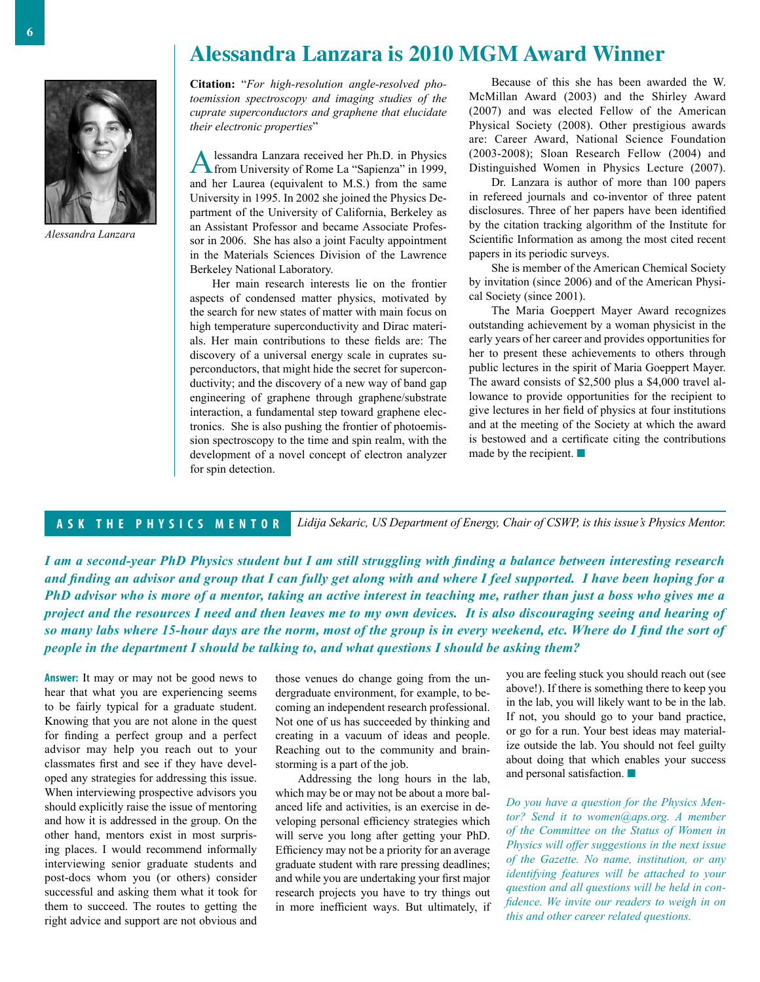## **Alessandra Lanzara is 2010 MGM Award Winner**



*Alessandra Lanzara*

**Citation:** "*For high-resolution angle-resolved photoemission spectroscopy and imaging studies of the cuprate superconductors and graphene that elucidate their electronic properties*"

Alessandra Lanzara received her Ph.D. in Physics from University of Rome La "Sapienza" in 1999, and her Laurea (equivalent to M.S.) from the same University in 1995. In 2002 she joined the Physics Department of the University of California, Berkeley as an Assistant Professor and became Associate Professor in 2006. She has also a joint Faculty appointment in the Materials Sciences Division of the Lawrence Berkeley National Laboratory.

Her main research interests lie on the frontier aspects of condensed matter physics, motivated by the search for new states of matter with main focus on high temperature superconductivity and Dirac materials. Her main contributions to these fields are: The discovery of a universal energy scale in cuprates superconductors, that might hide the secret for superconductivity; and the discovery of a new way of band gap engineering of graphene through graphene/substrate interaction, a fundamental step toward graphene electronics. She is also pushing the frontier of photoemission spectroscopy to the time and spin realm, with the development of a novel concept of electron analyzer for spin detection.

Because of this she has been awarded the W. McMillan Award (2003) and the Shirley Award (2007) and was elected Fellow of the American Physical Society (2008). Other prestigious awards are: Career Award, National Science Foundation (2003-2008); Sloan Research Fellow (2004) and Distinguished Women in Physics Lecture (2007).

Dr. Lanzara is author of more than 100 papers in refereed journals and co-inventor of three patent disclosures. Three of her papers have been identified by the citation tracking algorithm of the Institute for Scientific Information as among the most cited recent papers in its periodic surveys.

She is member of the American Chemical Society by invitation (since 2006) and of the American Physical Society (since 2001).

The Maria Goeppert Mayer Award recognizes outstanding achievement by a woman physicist in the early years of her career and provides opportunities for her to present these achievements to others through public lectures in the spirit of Maria Goeppert Mayer. The award consists of \$2,500 plus a \$4,000 travel allowance to provide opportunities for the recipient to give lectures in her field of physics at four institutions and at the meeting of the Society at which the award is bestowed and a certificate citing the contributions made by the recipient.  $\blacksquare$ 

#### **A S K T H E P H Y S I C S M E N T O R**

*Lidija Sekaric, US Department of Energy, Chair of CSWP, is this issue's Physics Mentor.*

*I am a second-year PhD Physics student but I am still struggling with finding a balance between interesting research and finding an advisor and group that I can fully get along with and where I feel supported. I have been hoping for a PhD advisor who is more of a mentor, taking an active interest in teaching me, rather than just a boss who gives me a project and the resources I need and then leaves me to my own devices. It is also discouraging seeing and hearing of so many labs where 15-hour days are the norm, most of the group is in every weekend, etc. Where do I find the sort of people in the department I should be talking to, and what questions I should be asking them?*

**Answer:** It may or may not be good news to hear that what you are experiencing seems to be fairly typical for a graduate student. Knowing that you are not alone in the quest for finding a perfect group and a perfect advisor may help you reach out to your classmates first and see if they have developed any strategies for addressing this issue. When interviewing prospective advisors you should explicitly raise the issue of mentoring and how it is addressed in the group. On the other hand, mentors exist in most surprising places. I would recommend informally interviewing senior graduate students and post-docs whom you (or others) consider successful and asking them what it took for them to succeed. The routes to getting the right advice and support are not obvious and those venues do change going from the undergraduate environment, for example, to becoming an independent research professional. Not one of us has succeeded by thinking and creating in a vacuum of ideas and people. Reaching out to the community and brainstorming is a part of the job.

Addressing the long hours in the lab, which may be or may not be about a more balanced life and activities, is an exercise in developing personal efficiency strategies which will serve you long after getting your PhD. Efficiency may not be a priority for an average graduate student with rare pressing deadlines; and while you are undertaking your first major research projects you have to try things out in more inefficient ways. But ultimately, if you are feeling stuck you should reach out (see above!). If there is something there to keep you in the lab, you will likely want to be in the lab. If not, you should go to your band practice, or go for a run. Your best ideas may materialize outside the lab. You should not feel guilty about doing that which enables your success and personal satisfaction.  $\blacksquare$ 

*Do you have a question for the Physics Mentor? Send it to women@aps.org. A member of the Committee on the Status of Women in Physics will offer suggestions in the next issue of the Gazette. No name, institution, or any identifying features will be attached to your question and all questions will be held in confidence. We invite our readers to weigh in on this and other career related questions.*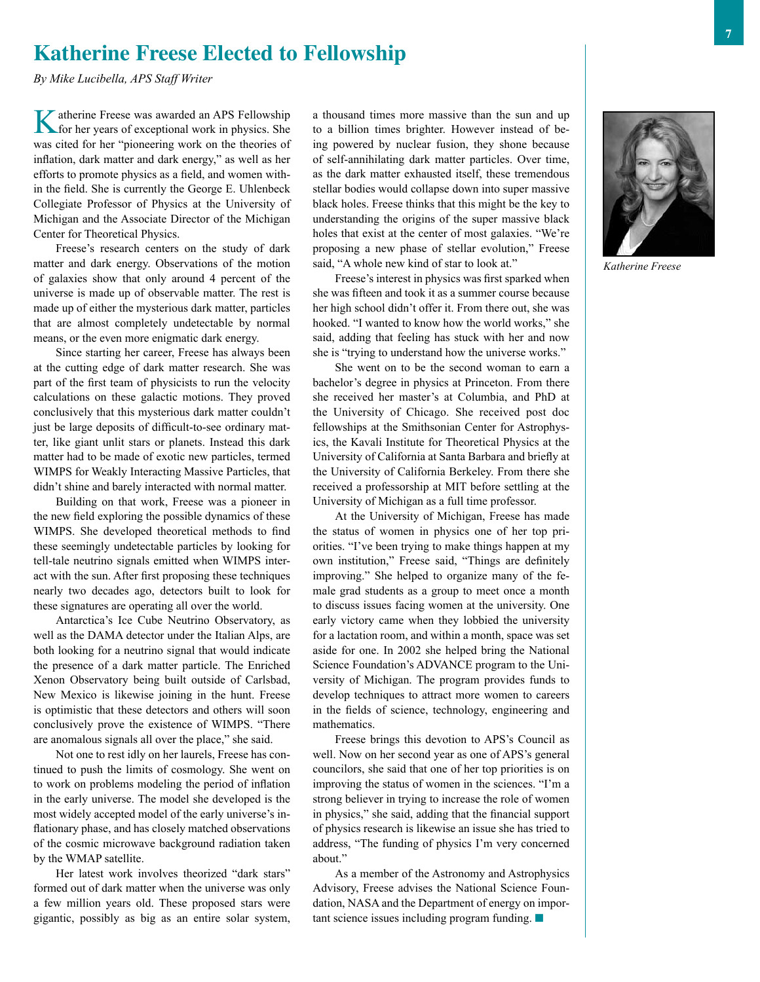## **Katherine Freese Elected to Fellowship**

*By Mike Lucibella, APS Staff Writer*

Katherine Freese was awarded an APS Fellowship<br>for her years of exceptional work in physics. She was cited for her "pioneering work on the theories of inflation, dark matter and dark energy," as well as her efforts to promote physics as a field, and women within the field. She is currently the George E. Uhlenbeck Collegiate Professor of Physics at the University of Michigan and the Associate Director of the Michigan Center for Theoretical Physics.

Freese's research centers on the study of dark matter and dark energy. Observations of the motion of galaxies show that only around 4 percent of the universe is made up of observable matter. The rest is made up of either the mysterious dark matter, particles that are almost completely undetectable by normal means, or the even more enigmatic dark energy.

Since starting her career, Freese has always been at the cutting edge of dark matter research. She was part of the first team of physicists to run the velocity calculations on these galactic motions. They proved conclusively that this mysterious dark matter couldn't just be large deposits of difficult-to-see ordinary matter, like giant unlit stars or planets. Instead this dark matter had to be made of exotic new particles, termed WIMPS for Weakly Interacting Massive Particles, that didn't shine and barely interacted with normal matter.

Building on that work, Freese was a pioneer in the new field exploring the possible dynamics of these WIMPS. She developed theoretical methods to find these seemingly undetectable particles by looking for tell-tale neutrino signals emitted when WIMPS interact with the sun. After first proposing these techniques nearly two decades ago, detectors built to look for these signatures are operating all over the world.

Antarctica's Ice Cube Neutrino Observatory, as well as the DAMA detector under the Italian Alps, are both looking for a neutrino signal that would indicate the presence of a dark matter particle. The Enriched Xenon Observatory being built outside of Carlsbad, New Mexico is likewise joining in the hunt. Freese is optimistic that these detectors and others will soon conclusively prove the existence of WIMPS. "There are anomalous signals all over the place," she said.

Not one to rest idly on her laurels, Freese has continued to push the limits of cosmology. She went on to work on problems modeling the period of inflation in the early universe. The model she developed is the most widely accepted model of the early universe's inflationary phase, and has closely matched observations of the cosmic microwave background radiation taken by the WMAP satellite.

Her latest work involves theorized "dark stars" formed out of dark matter when the universe was only a few million years old. These proposed stars were gigantic, possibly as big as an entire solar system,

a thousand times more massive than the sun and up to a billion times brighter. However instead of being powered by nuclear fusion, they shone because of self-annihilating dark matter particles. Over time, as the dark matter exhausted itself, these tremendous stellar bodies would collapse down into super massive black holes. Freese thinks that this might be the key to understanding the origins of the super massive black holes that exist at the center of most galaxies. "We're proposing a new phase of stellar evolution," Freese said, "A whole new kind of star to look at."

Freese's interest in physics was first sparked when she was fifteen and took it as a summer course because her high school didn't offer it. From there out, she was hooked. "I wanted to know how the world works," she said, adding that feeling has stuck with her and now she is "trying to understand how the universe works."

She went on to be the second woman to earn a bachelor's degree in physics at Princeton. From there she received her master's at Columbia, and PhD at the University of Chicago. She received post doc fellowships at the Smithsonian Center for Astrophysics, the Kavali Institute for Theoretical Physics at the University of California at Santa Barbara and briefly at the University of California Berkeley. From there she received a professorship at MIT before settling at the University of Michigan as a full time professor.

At the University of Michigan, Freese has made the status of women in physics one of her top priorities. "I've been trying to make things happen at my own institution," Freese said, "Things are definitely improving." She helped to organize many of the female grad students as a group to meet once a month to discuss issues facing women at the university. One early victory came when they lobbied the university for a lactation room, and within a month, space was set aside for one. In 2002 she helped bring the National Science Foundation's ADVANCE program to the University of Michigan. The program provides funds to develop techniques to attract more women to careers in the fields of science, technology, engineering and mathematics.

Freese brings this devotion to APS's Council as well. Now on her second year as one of APS's general councilors, she said that one of her top priorities is on improving the status of women in the sciences. "I'm a strong believer in trying to increase the role of women in physics," she said, adding that the financial support of physics research is likewise an issue she has tried to address, "The funding of physics I'm very concerned about."

As a member of the Astronomy and Astrophysics Advisory, Freese advises the National Science Foundation, NASA and the Department of energy on important science issues including program funding.  $\blacksquare$ 



*Katherine Freese*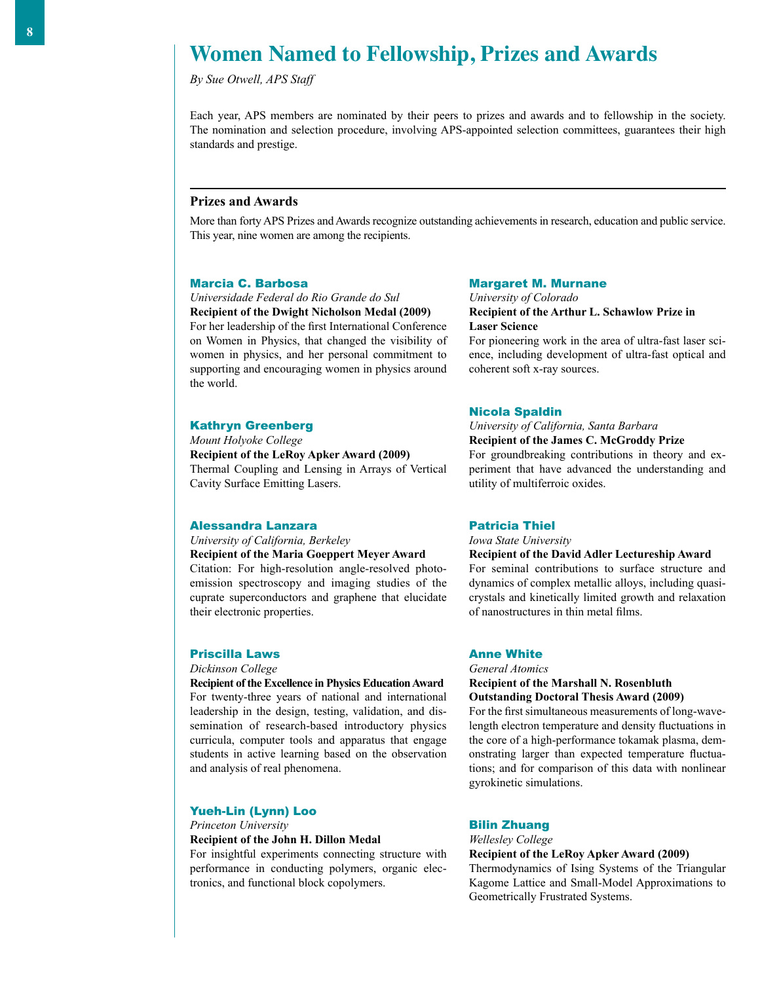## **Women Named to Fellowship, Prizes and Awards**

*By Sue Otwell, APS Staff*

Each year, APS members are nominated by their peers to prizes and awards and to fellowship in the society. The nomination and selection procedure, involving APS-appointed selection committees, guarantees their high standards and prestige.

#### **Prizes and Awards**

More than forty APS Prizes and Awards recognize outstanding achievements in research, education and public service. This year, nine women are among the recipients.

#### Marcia C. Barbosa

*Universidade Federal do Rio Grande do Sul*

**Recipient of the Dwight Nicholson Medal (2009)** For her leadership of the first International Conference on Women in Physics, that changed the visibility of women in physics, and her personal commitment to supporting and encouraging women in physics around the world.

#### Kathryn Greenberg

*Mount Holyoke College* **Recipient of the LeRoy Apker Award (2009)** Thermal Coupling and Lensing in Arrays of Vertical Cavity Surface Emitting Lasers.

#### Alessandra Lanzara

## *University of California, Berkeley*

**Recipient of the Maria Goeppert Meyer Award** Citation: For high-resolution angle-resolved photoemission spectroscopy and imaging studies of the cuprate superconductors and graphene that elucidate their electronic properties.

#### Priscilla Laws

#### *Dickinson College*

**Recipient of the Excellence in Physics Education Award** For twenty-three years of national and international leadership in the design, testing, validation, and dissemination of research-based introductory physics curricula, computer tools and apparatus that engage students in active learning based on the observation and analysis of real phenomena.

#### Yueh-Lin (Lynn) Loo

*Princeton University* **Recipient of the John H. Dillon Medal**

For insightful experiments connecting structure with performance in conducting polymers, organic electronics, and functional block copolymers.

#### Margaret M. Murnane

*University of Colorado* **Recipient of the Arthur L. Schawlow Prize in Laser Science**

For pioneering work in the area of ultra-fast laser science, including development of ultra-fast optical and coherent soft x-ray sources.

#### Nicola Spaldin

### *University of California, Santa Barbara*

**Recipient of the James C. McGroddy Prize** For groundbreaking contributions in theory and experiment that have advanced the understanding and

#### Patricia Thiel

*Iowa State University*

utility of multiferroic oxides.

**Recipient of the David Adler Lectureship Award**

For seminal contributions to surface structure and dynamics of complex metallic alloys, including quasicrystals and kinetically limited growth and relaxation of nanostructures in thin metal films.

#### Anne White

*General Atomics* 

#### **Recipient of the Marshall N. Rosenbluth Outstanding Doctoral Thesis Award (2009)**

For the first simultaneous measurements of long-wavelength electron temperature and density fluctuations in the core of a high-performance tokamak plasma, demonstrating larger than expected temperature fluctuations; and for comparison of this data with nonlinear gyrokinetic simulations.

#### Bilin Zhuang

*Wellesley College*

#### **Recipient of the LeRoy Apker Award (2009)**

Thermodynamics of Ising Systems of the Triangular Kagome Lattice and Small-Model Approximations to Geometrically Frustrated Systems.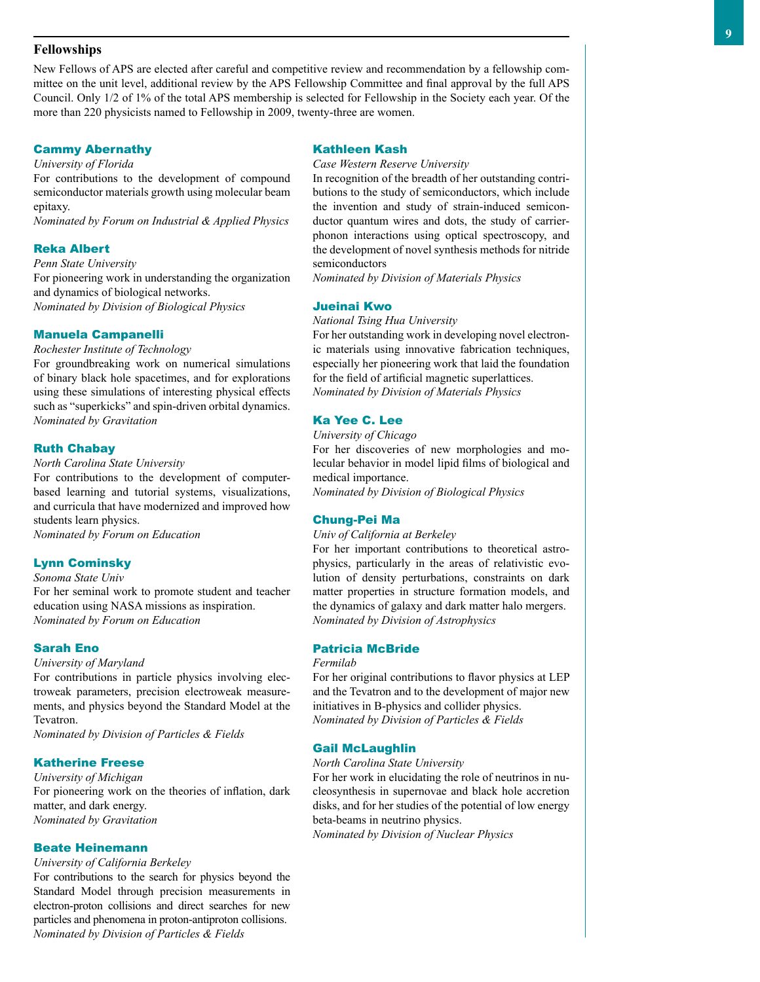#### **Fellowships**

New Fellows of APS are elected after careful and competitive review and recommendation by a fellowship committee on the unit level, additional review by the APS Fellowship Committee and final approval by the full APS Council. Only 1/2 of 1% of the total APS membership is selected for Fellowship in the Society each year. Of the more than 220 physicists named to Fellowship in 2009, twenty-three are women.

## Cammy Abernathy

*University of Florida*

For contributions to the development of compound semiconductor materials growth using molecular beam epitaxy.

*Nominated by Forum on Industrial & Applied Physics*

#### Reka Albert

*Penn State University*

For pioneering work in understanding the organization and dynamics of biological networks. *Nominated by Division of Biological Physics*

#### Manuela Campanelli

*Rochester Institute of Technology*

For groundbreaking work on numerical simulations of binary black hole spacetimes, and for explorations using these simulations of interesting physical effects such as "superkicks" and spin-driven orbital dynamics. *Nominated by Gravitation*

#### Ruth Chabay

*North Carolina State University*

For contributions to the development of computerbased learning and tutorial systems, visualizations, and curricula that have modernized and improved how students learn physics. *Nominated by Forum on Education*

Lynn Cominsky

*Sonoma State Univ*

For her seminal work to promote student and teacher education using NASA missions as inspiration. *Nominated by Forum on Education*

#### Sarah Eno

*University of Maryland*

For contributions in particle physics involving electroweak parameters, precision electroweak measurements, and physics beyond the Standard Model at the Tevatron.

*Nominated by Division of Particles & Fields*

#### Katherine Freese

*University of Michigan* For pioneering work on the theories of inflation, dark matter, and dark energy. *Nominated by Gravitation*

#### Beate Heinemann

*University of California Berkeley*

For contributions to the search for physics beyond the Standard Model through precision measurements in electron-proton collisions and direct searches for new particles and phenomena in proton-antiproton collisions. *Nominated by Division of Particles & Fields*

#### Kathleen Kash

*Case Western Reserve University*

In recognition of the breadth of her outstanding contributions to the study of semiconductors, which include the invention and study of strain-induced semiconductor quantum wires and dots, the study of carrierphonon interactions using optical spectroscopy, and the development of novel synthesis methods for nitride semiconductors

*Nominated by Division of Materials Physics*

#### Jueinai Kwo

*National Tsing Hua University*

For her outstanding work in developing novel electronic materials using innovative fabrication techniques, especially her pioneering work that laid the foundation for the field of artificial magnetic superlattices. *Nominated by Division of Materials Physics*

#### Ka Yee C. Lee

*University of Chicago*

For her discoveries of new morphologies and molecular behavior in model lipid films of biological and medical importance.

*Nominated by Division of Biological Physics*

#### Chung-Pei Ma

*Univ of California at Berkeley*

For her important contributions to theoretical astrophysics, particularly in the areas of relativistic evolution of density perturbations, constraints on dark matter properties in structure formation models, and the dynamics of galaxy and dark matter halo mergers. *Nominated by Division of Astrophysics*

#### Patricia McBride

*Fermilab*

For her original contributions to flavor physics at LEP and the Tevatron and to the development of major new initiatives in B-physics and collider physics. *Nominated by Division of Particles & Fields*

#### Gail McLaughlin

*North Carolina State University*

For her work in elucidating the role of neutrinos in nucleosynthesis in supernovae and black hole accretion disks, and for her studies of the potential of low energy beta-beams in neutrino physics.

*Nominated by Division of Nuclear Physics*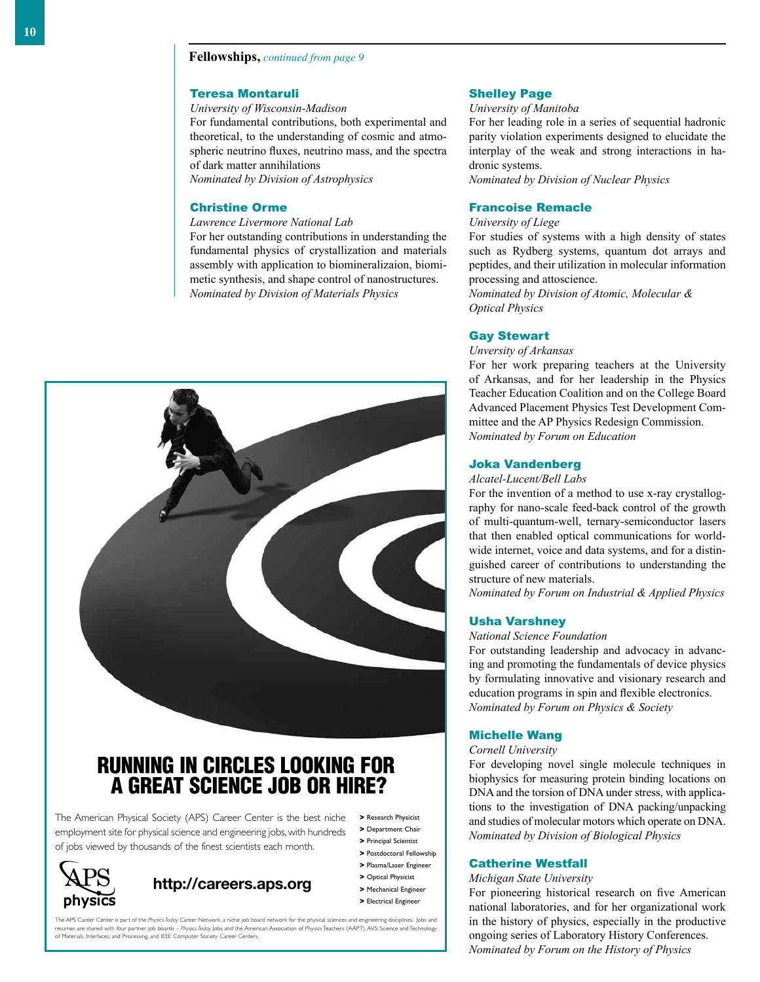## **Fellowships,** *continued from page 9*

#### Teresa Montaruli

#### *University of Wisconsin-Madison*

For fundamental contributions, both experimental and theoretical, to the understanding of cosmic and atmospheric neutrino fluxes, neutrino mass, and the spectra of dark matter annihilations

*Nominated by Division of Astrophysics*

#### Christine Orme

*Lawrence Livermore National Lab*

For her outstanding contributions in understanding the fundamental physics of crystallization and materials assembly with application to biomineralizaion, biomimetic synthesis, and shape control of nanostructures. *Nominated by Division of Materials Physics*



## RUNNING IN CIRCLES LOOKING FOR A GREAT SCIENCE JOB OR HIRE?

The American Physical Society (APS) Career Center is the best niche employment site for physical science and engineering jobs, with hundreds of jobs viewed by thousands of the finest scientists each month.



## **http://careers.aps.org**

- **>** Research Physicist **>** Department Chair
- **>** Principal Scientist
- **>** Postdoctoral Fellowship
- **>** Plasma/Laser Engineer
- **>** Optical Physicist
- **>** Mechanical Engineer
- **>** Electrical Engineer

The APS Career Center is part of the *Physics Today* Career Network, a niche job board network for the physical sciences and engineering disciplines. Jobs and resumes are shared with four partner job boards – Physics Todgy Jobs and the American Association of Physics Teachers (AAPT), AVS: Science and Technology<br>of Materials, Interfaces, and Processing, and IEEE Computer Society

#### Shelley Page

## *University of Manitoba*

For her leading role in a series of sequential hadronic parity violation experiments designed to elucidate the interplay of the weak and strong interactions in hadronic systems.

*Nominated by Division of Nuclear Physics*

#### Francoise Remacle

*University of Liege*

For studies of systems with a high density of states such as Rydberg systems, quantum dot arrays and peptides, and their utilization in molecular information processing and attoscience.

*Nominated by Division of Atomic, Molecular & Optical Physics*

#### Gay Stewart

*Unversity of Arkansas*

For her work preparing teachers at the University of Arkansas, and for her leadership in the Physics Teacher Education Coalition and on the College Board Advanced Placement Physics Test Development Committee and the AP Physics Redesign Commission. *Nominated by Forum on Education*

#### Joka Vandenberg

#### *Alcatel-Lucent/Bell Labs*

For the invention of a method to use x-ray crystallography for nano-scale feed-back control of the growth of multi-quantum-well, ternary-semiconductor lasers that then enabled optical communications for worldwide internet, voice and data systems, and for a distinguished career of contributions to understanding the structure of new materials.

*Nominated by Forum on Industrial & Applied Physics*

#### Usha Varshney

#### *National Science Foundation*

For outstanding leadership and advocacy in advancing and promoting the fundamentals of device physics by formulating innovative and visionary research and education programs in spin and flexible electronics. *Nominated by Forum on Physics & Society*

#### Michelle Wang

#### *Cornell University*

For developing novel single molecule techniques in biophysics for measuring protein binding locations on DNA and the torsion of DNA under stress, with applications to the investigation of DNA packing/unpacking and studies of molecular motors which operate on DNA. *Nominated by Division of Biological Physics*

#### Catherine Westfall

#### *Michigan State University*

For pioneering historical research on five American national laboratories, and for her organizational work in the history of physics, especially in the productive ongoing series of Laboratory History Conferences. *Nominated by Forum on the History of Physics*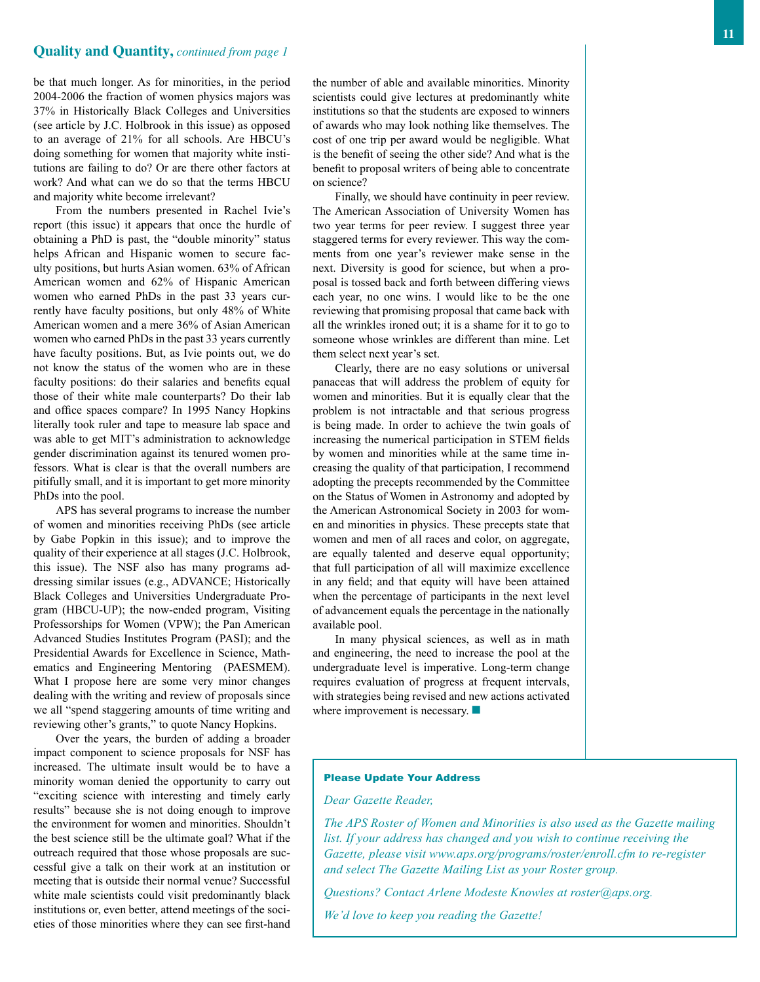#### **Quality and Quantity,** *continued from page 1*

be that much longer. As for minorities, in the period 2004-2006 the fraction of women physics majors was 37% in Historically Black Colleges and Universities (see article by J.C. Holbrook in this issue) as opposed to an average of 21% for all schools. Are HBCU's doing something for women that majority white institutions are failing to do? Or are there other factors at work? And what can we do so that the terms HBCU and majority white become irrelevant?

From the numbers presented in Rachel Ivie's report (this issue) it appears that once the hurdle of obtaining a PhD is past, the "double minority" status helps African and Hispanic women to secure faculty positions, but hurts Asian women. 63% of African American women and 62% of Hispanic American women who earned PhDs in the past 33 years currently have faculty positions, but only 48% of White American women and a mere 36% of Asian American women who earned PhDs in the past 33 years currently have faculty positions. But, as Ivie points out, we do not know the status of the women who are in these faculty positions: do their salaries and benefits equal those of their white male counterparts? Do their lab and office spaces compare? In 1995 Nancy Hopkins literally took ruler and tape to measure lab space and was able to get MIT's administration to acknowledge gender discrimination against its tenured women professors. What is clear is that the overall numbers are pitifully small, and it is important to get more minority PhDs into the pool.

APS has several programs to increase the number of women and minorities receiving PhDs (see article by Gabe Popkin in this issue); and to improve the quality of their experience at all stages (J.C. Holbrook, this issue). The NSF also has many programs addressing similar issues (e.g., ADVANCE; Historically Black Colleges and Universities Undergraduate Program (HBCU-UP); the now-ended program, Visiting Professorships for Women (VPW); the Pan American Advanced Studies Institutes Program (PASI); and the Presidential Awards for Excellence in Science, Mathematics and Engineering Mentoring (PAESMEM). What I propose here are some very minor changes dealing with the writing and review of proposals since we all "spend staggering amounts of time writing and reviewing other's grants," to quote Nancy Hopkins.

Over the years, the burden of adding a broader impact component to science proposals for NSF has increased. The ultimate insult would be to have a minority woman denied the opportunity to carry out "exciting science with interesting and timely early results" because she is not doing enough to improve the environment for women and minorities. Shouldn't the best science still be the ultimate goal? What if the outreach required that those whose proposals are successful give a talk on their work at an institution or meeting that is outside their normal venue? Successful white male scientists could visit predominantly black institutions or, even better, attend meetings of the societies of those minorities where they can see first-hand

the number of able and available minorities. Minority scientists could give lectures at predominantly white institutions so that the students are exposed to winners of awards who may look nothing like themselves. The cost of one trip per award would be negligible. What is the benefit of seeing the other side? And what is the benefit to proposal writers of being able to concentrate on science?

Finally, we should have continuity in peer review. The American Association of University Women has two year terms for peer review. I suggest three year staggered terms for every reviewer. This way the comments from one year's reviewer make sense in the next. Diversity is good for science, but when a proposal is tossed back and forth between differing views each year, no one wins. I would like to be the one reviewing that promising proposal that came back with all the wrinkles ironed out; it is a shame for it to go to someone whose wrinkles are different than mine. Let them select next year's set.

Clearly, there are no easy solutions or universal panaceas that will address the problem of equity for women and minorities. But it is equally clear that the problem is not intractable and that serious progress is being made. In order to achieve the twin goals of increasing the numerical participation in STEM fields by women and minorities while at the same time increasing the quality of that participation, I recommend adopting the precepts recommended by the Committee on the Status of Women in Astronomy and adopted by the American Astronomical Society in 2003 for women and minorities in physics. These precepts state that women and men of all races and color, on aggregate, are equally talented and deserve equal opportunity; that full participation of all will maximize excellence in any field; and that equity will have been attained when the percentage of participants in the next level of advancement equals the percentage in the nationally available pool.

In many physical sciences, as well as in math and engineering, the need to increase the pool at the undergraduate level is imperative. Long-term change requires evaluation of progress at frequent intervals, with strategies being revised and new actions activated where improvement is necessary.  $\blacksquare$ 

#### Please Update Your Address

#### *Dear Gazette Reader,*

*The APS Roster of Women and Minorities is also used as the Gazette mailing list. If your address has changed and you wish to continue receiving the Gazette, please visit www.aps.org/programs/roster/enroll.cfm to re-register and select The Gazette Mailing List as your Roster group.*

*Questions? Contact Arlene Modeste Knowles at roster@aps.org.*

*We'd love to keep you reading the Gazette!*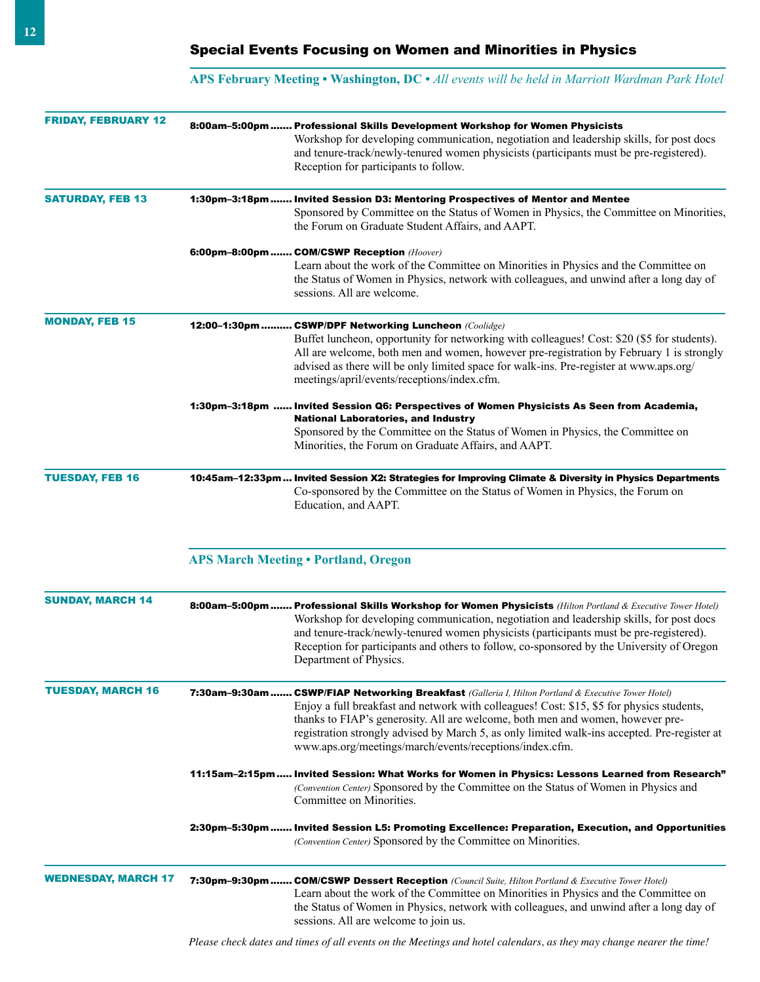## **APS February Meeting • Washington, DC •** *All events will be held in Marriott Wardman Park Hotel*

| <b>FRIDAY, FEBRUARY 12</b> |                                                                                                                                                                                                                             | 8:00am-5:00pm  Professional Skills Development Workshop for Women Physicists<br>Workshop for developing communication, negotiation and leadership skills, for post docs<br>and tenure-track/newly-tenured women physicists (participants must be pre-registered).<br>Reception for participants to follow.                                                                                                                                    |  |  |
|----------------------------|-----------------------------------------------------------------------------------------------------------------------------------------------------------------------------------------------------------------------------|-----------------------------------------------------------------------------------------------------------------------------------------------------------------------------------------------------------------------------------------------------------------------------------------------------------------------------------------------------------------------------------------------------------------------------------------------|--|--|
| <b>SATURDAY, FEB 13</b>    | 1:30pm-3:18pm Invited Session D3: Mentoring Prospectives of Mentor and Mentee<br>Sponsored by Committee on the Status of Women in Physics, the Committee on Minorities,<br>the Forum on Graduate Student Affairs, and AAPT. |                                                                                                                                                                                                                                                                                                                                                                                                                                               |  |  |
|                            |                                                                                                                                                                                                                             | 6:00pm-8:00pm  COM/CSWP Reception (Hoover)<br>Learn about the work of the Committee on Minorities in Physics and the Committee on<br>the Status of Women in Physics, network with colleagues, and unwind after a long day of<br>sessions. All are welcome.                                                                                                                                                                                    |  |  |
| <b>MONDAY, FEB 15</b>      |                                                                                                                                                                                                                             | 12:00-1:30pm  CSWP/DPF Networking Luncheon (Coolidge)<br>Buffet luncheon, opportunity for networking with colleagues! Cost: \$20 (\$5 for students).<br>All are welcome, both men and women, however pre-registration by February 1 is strongly<br>advised as there will be only limited space for walk-ins. Pre-register at www.aps.org/<br>meetings/april/events/receptions/index.cfm.                                                      |  |  |
|                            |                                                                                                                                                                                                                             | 1:30pm-3:18pm  Invited Session Q6: Perspectives of Women Physicists As Seen from Academia,<br><b>National Laboratories, and Industry</b><br>Sponsored by the Committee on the Status of Women in Physics, the Committee on<br>Minorities, the Forum on Graduate Affairs, and AAPT.                                                                                                                                                            |  |  |
| <b>TUESDAY, FEB 16</b>     |                                                                                                                                                                                                                             | 10:45am-12:33pm  Invited Session X2: Strategies for Improving Climate & Diversity in Physics Departments<br>Co-sponsored by the Committee on the Status of Women in Physics, the Forum on<br>Education, and AAPT.                                                                                                                                                                                                                             |  |  |
|                            |                                                                                                                                                                                                                             | <b>APS March Meeting . Portland, Oregon</b>                                                                                                                                                                                                                                                                                                                                                                                                   |  |  |
| <b>SUNDAY, MARCH 14</b>    |                                                                                                                                                                                                                             | 8:00am-5:00pm  Professional Skills Workshop for Women Physicists (Hilton Portland & Executive Tower Hotel)<br>Workshop for developing communication, negotiation and leadership skills, for post docs<br>and tenure-track/newly-tenured women physicists (participants must be pre-registered).<br>Reception for participants and others to follow, co-sponsored by the University of Oregon<br>Department of Physics.                        |  |  |
| <b>TUESDAY, MARCH 16</b>   |                                                                                                                                                                                                                             | 7:30am-9:30am  CSWP/FIAP Networking Breakfast (Galleria I, Hilton Portland & Executive Tower Hotel)<br>Enjoy a full breakfast and network with colleagues! Cost: \$15, \$5 for physics students,<br>thanks to FIAP's generosity. All are welcome, both men and women, however pre-<br>registration strongly advised by March 5, as only limited walk-ins accepted. Pre-register at<br>www.aps.org/meetings/march/events/receptions/index.cfm. |  |  |
|                            |                                                                                                                                                                                                                             | 11:15am-2:15pm  Invited Session: What Works for Women in Physics: Lessons Learned from Research"<br>(Convention Center) Sponsored by the Committee on the Status of Women in Physics and<br>Committee on Minorities.                                                                                                                                                                                                                          |  |  |
|                            |                                                                                                                                                                                                                             | 2:30pm-5:30pm  Invited Session L5: Promoting Excellence: Preparation, Execution, and Opportunities<br>(Convention Center) Sponsored by the Committee on Minorities.                                                                                                                                                                                                                                                                           |  |  |
| WEDNESDAY, MARCH 17        |                                                                                                                                                                                                                             | 7:30pm-9:30pm  COM/CSWP Dessert Reception (Council Suite, Hilton Portland & Executive Tower Hotel)<br>Learn about the work of the Committee on Minorities in Physics and the Committee on<br>the Status of Women in Physics, network with colleagues, and unwind after a long day of<br>sessions. All are welcome to join us.                                                                                                                 |  |  |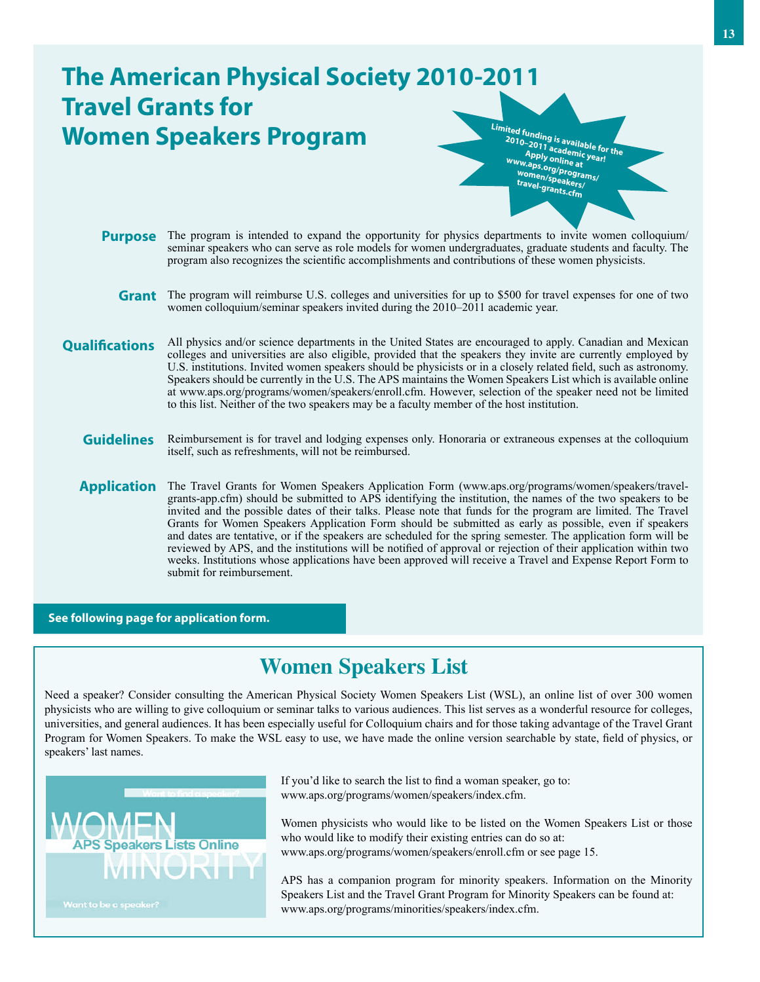## **The American Physical Society 2010-2011 Travel Grants for Women Speakers Program Purpose** The program is intended to expand the opportunity for physics departments to invite women colloquium/ Grant The program will reimburse U.S. colleges and universities for up to \$500 for travel expenses for one of two **Qualifications** seminar speakers who can serve as role models for women undergraduates, graduate students and faculty. The program also recognizes the scientific accomplishments and contributions of these women physicists. women colloquium/seminar speakers invited during the 2010–2011 academic year. All physics and/or science departments in the United States are encouraged to apply. Canadian and Mexican colleges and universities are also eligible, provided that the speakers they invite are currently employed by U.S. institutions. Invited women speakers should be physicists or in a closely related field, such as astronomy. Speakers should be currently in the U.S. The APS maintains the Women Speakers List which is available online at www.aps.org/programs/women/speakers/enroll.cfm. However, selection of the speaker need not be limited **Limited funding is available for the 2010–2011 academic year! Apply online at www.aps.org/programs/ women/speakers/ travel-grants.cfm**

**Guidelines** Reimbursement is for travel and lodging expenses only. Honoraria or extraneous expenses at the colloquium itself, such as refreshments, will not be reimbursed.

to this list. Neither of the two speakers may be a faculty member of the host institution.

Application The Travel Grants for Women Speakers Application Form (www.aps.org/programs/women/speakers/travelgrants-app.cfm) should be submitted to APS identifying the institution, the names of the two speakers to be invited and the possible dates of their talks. Please note that funds for the program are limited. The Travel Grants for Women Speakers Application Form should be submitted as early as possible, even if speakers and dates are tentative, or if the speakers are scheduled for the spring semester. The application form will be reviewed by APS, and the institutions will be notified of approval or rejection of their application within two weeks. Institutions whose applications have been approved will receive a Travel and Expense Report Form to submit for reimbursement.

**See following page for application form.**

# **Women Speakers List**

Need a speaker? Consider consulting the American Physical Society Women Speakers List (WSL), an online list of over 300 women physicists who are willing to give colloquium or seminar talks to various audiences. This list serves as a wonderful resource for colleges, universities, and general audiences. It has been especially useful for Colloquium chairs and for those taking advantage of the Travel Grant Program for Women Speakers. To make the WSL easy to use, we have made the online version searchable by state, field of physics, or speakers' last names.



If you'd like to search the list to find a woman speaker, go to: www.aps.org/programs/women/speakers/index.cfm.

Women physicists who would like to be listed on the Women Speakers List or those who would like to modify their existing entries can do so at: www.aps.org/programs/women/speakers/enroll.cfm or see page 15.

APS has a companion program for minority speakers. Information on the Minority Speakers List and the Travel Grant Program for Minority Speakers can be found at: www.aps.org/programs/minorities/speakers/index.cfm.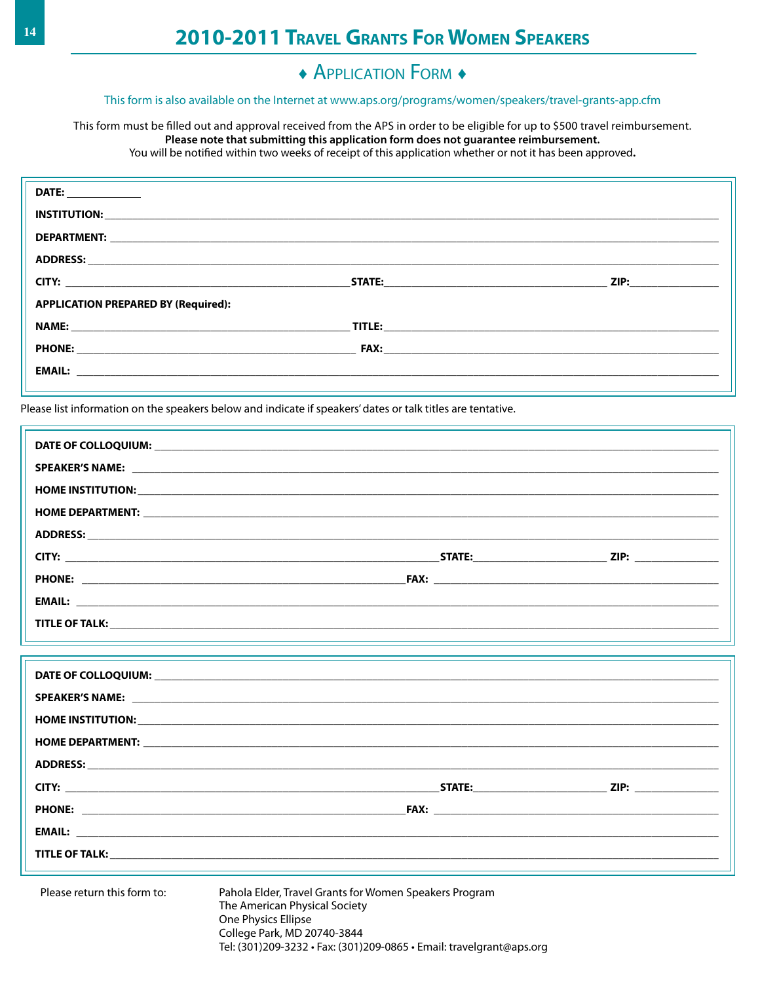## $\triangle$  APPLICATION FORM  $\triangle$

## This form is also available on the Internet at www.aps.org/programs/women/speakers/travel-grants-app.cfm

This form must be filled out and approval received from the APS in order to be eligible for up to \$500 travel reimbursement. Please note that submitting this application form does not guarantee reimbursement. You will be notified within two weeks of receipt of this application whether or not it has been approved.

| <b>DATE:</b> _____________                                                                                                                                                                                                          |                             |
|-------------------------------------------------------------------------------------------------------------------------------------------------------------------------------------------------------------------------------------|-----------------------------|
|                                                                                                                                                                                                                                     |                             |
|                                                                                                                                                                                                                                     |                             |
|                                                                                                                                                                                                                                     |                             |
|                                                                                                                                                                                                                                     | ZIP: www.communications.com |
| <b>APPLICATION PREPARED BY (Required):</b>                                                                                                                                                                                          |                             |
| NAME:                                                                                                                                                                                                                               |                             |
| <b>PHONE:</b> The contract of the contract of the contract of the contract of the contract of the contract of the contract of the contract of the contract of the contract of the contract of the contract of the contract of the c |                             |
|                                                                                                                                                                                                                                     |                             |
|                                                                                                                                                                                                                                     |                             |

Please list information on the speakers below and indicate if speakers' dates or talk titles are tentative.

Please return this form to:

Pahola Elder, Travel Grants for Women Speakers Program The American Physical Society One Physics Ellipse College Park, MD 20740-3844 Tel: (301)209-3232 · Fax: (301)209-0865 · Email: travelgrant@aps.org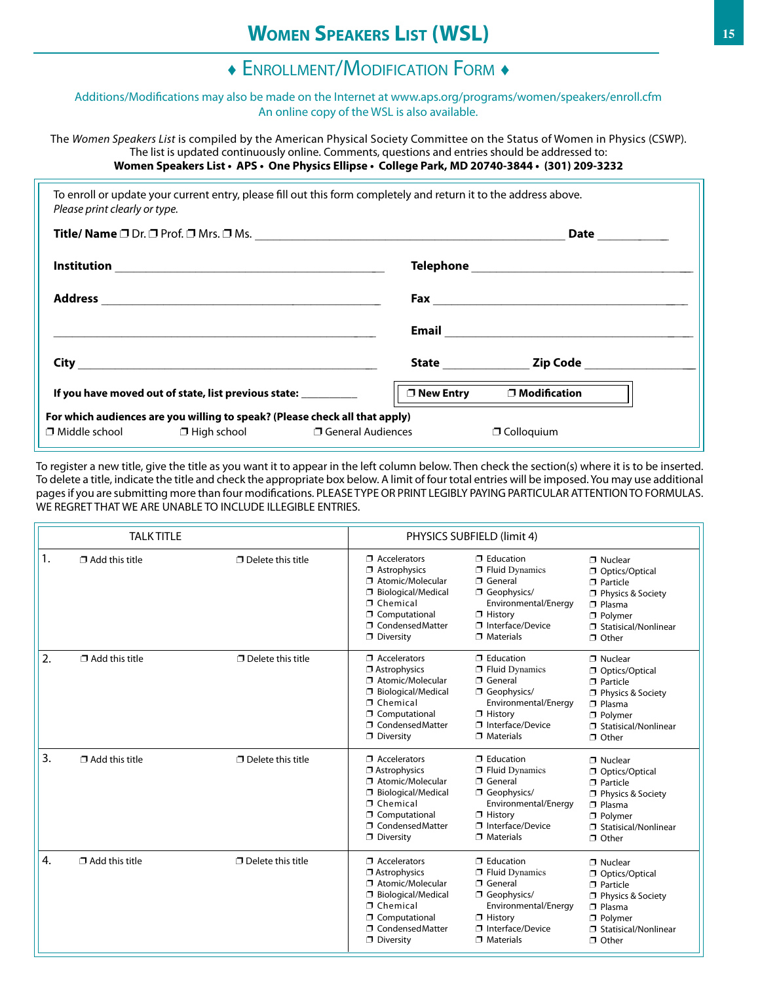# ♦ Enrollment/Modification Form ♦

#### Additions/Modifications may also be made on the Internet at www.aps.org/programs/women/speakers/enroll.cfm An online copy of the WSL is also available.

The *Women Speakers List* is compiled by the American Physical Society Committee on the Status of Women in Physics (CSWP). The list is updated continuously online. Comments, questions and entries should be addressed to: **Women Speakers List • APS • One Physics Ellipse • College Park, MD 20740-3844 • (301) 209-3232**

| Please print clearly or type. |                                                                 | To enroll or update your current entry, please fill out this form completely and return it to the address above. |                                    |  |
|-------------------------------|-----------------------------------------------------------------|------------------------------------------------------------------------------------------------------------------|------------------------------------|--|
|                               |                                                                 |                                                                                                                  |                                    |  |
|                               |                                                                 |                                                                                                                  |                                    |  |
|                               |                                                                 |                                                                                                                  |                                    |  |
|                               |                                                                 |                                                                                                                  |                                    |  |
|                               |                                                                 |                                                                                                                  | State <b>Example 21 Zip Code</b>   |  |
|                               | If you have moved out of state, list previous state: __________ |                                                                                                                  | □ New Entry<br>$\Box$ Modification |  |
|                               |                                                                 | For which audiences are you willing to speak? (Please check all that apply)                                      |                                    |  |
|                               |                                                                 | $\Box$ Middle school $\Box$ High school $\Box$ General Audiences                                                 | $\Box$ Colloquium                  |  |

To register a new title, give the title as you want it to appear in the left column below. Then check the section(s) where it is to be inserted. To delete a title, indicate the title and check the appropriate box below. A limit of four total entries will be imposed. You may use additional pagesif you are submitting more than four modifications. PLEASE TYPE OR PRINT LEGIBLY PAYING PARTICULAR ATTENTIONTO FORMULAS. WE REGRET THAT WE ARE UNABLE TO INCLUDE ILLEGIBLE ENTRIES.

| <b>TALK TITLE</b> |                       |                             | PHYSICS SUBFIELD (limit 4)                                                                                                                                                |                                                                                                                                                                    |                                                                                                                                                    |
|-------------------|-----------------------|-----------------------------|---------------------------------------------------------------------------------------------------------------------------------------------------------------------------|--------------------------------------------------------------------------------------------------------------------------------------------------------------------|----------------------------------------------------------------------------------------------------------------------------------------------------|
| 1.                | $\Box$ Add this title | $\Box$ Delete this title    | $\Box$ Accelerators<br>Astrophysics<br>Atomic/Molecular<br>σ<br>Biological/Medical<br>□ Chemical<br>Computational<br>□ CondensedMatter<br>$\Box$ Diversity                | $\Box$ Education<br>$\Box$ Fluid Dynamics<br><b>T</b> General<br>Geophysics/<br>Environmental/Energy<br>$\Box$ History<br>□ Interface/Device<br>$\Box$ Materials   | □ Nuclear<br>Optics/Optical<br>$\Box$ Particle<br>Physics & Society<br>$\n  7 Plasma$<br>D Polymer<br>□ Statisical/Nonlinear<br>□ Other            |
| 2.                | $\Box$ Add this title | $\square$ Delete this title | $\Box$ Accelerators<br>$\Box$ Astrophysics<br>Atomic/Molecular<br>□ Biological/Medical<br><b>7</b> Chemical<br>Computational<br>□ CondensedMatter<br>$\Box$ Diversity     | $\Box$ Education<br><b>T</b> Fluid Dynamics<br><b>T</b> General<br>Geophysics/<br>Environmental/Energy<br>$\Box$ History<br>□ Interface/Device<br>$\Box$ Materials | $\neg$ Nuclear<br>Optics/Optical<br>$\n  Particle\n$<br>Physics & Society<br>$\n  7 Plasma$<br>D Polymer<br>□ Statisical/Nonlinear<br>$\Box$ Other |
| 3.                | $\Box$ Add this title | $\Box$ Delete this title    | $\Box$ Accelerators<br>$\Box$ Astrophysics<br>Atomic/Molecular<br>□ Biological/Medical<br>□ Chemical<br>Computational<br>□ CondensedMatter<br>$\Box$ Diversity            | $\Box$ Education<br>$\Box$ Fluid Dynamics<br><b>T</b> General<br>Geophysics/<br>Environmental/Energy<br>$\Box$ History<br>□ Interface/Device<br>$\Box$ Materials   | □ Nuclear<br>Optics/Optical<br>$\n  Particle\n$<br>Physics & Society<br>$\n  7 Plasma$<br>□ Polvmer<br>□ Statisical/Nonlinear<br>$\Box$ Other      |
| 4.                | $\Box$ Add this title | $\Box$ Delete this title    | $\Box$ Accelerators<br>$\Box$ Astrophysics<br>Atomic/Molecular<br>□ Biological/Medical<br>□ Chemical<br><b>J</b> Computational<br>□ CondensedMatter<br><b>D</b> Diversity | $\Box$ Education<br><b>T</b> Fluid Dynamics<br><b>T</b> General<br>Geophysics/<br>Environmental/Energy<br>$\Box$ History<br>□ Interface/Device<br>$\Box$ Materials | □ Nuclear<br>Optics/Optical<br>$\n  Particle\n$<br>Physics & Society<br>$\n  7 Plasma$<br>D Polymer<br>□ Statisical/Nonlinear<br>□ Other           |